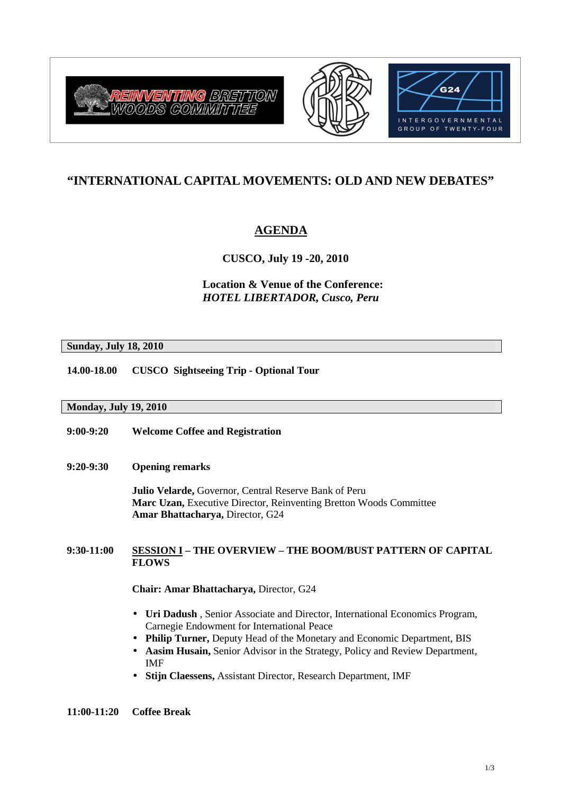





# **"INTERNATIONAL CAPITAL MOVEMENTS: OLD AND NEW DEBATES"**

# **AGENDA**

 **CUSCO, July 19 -20, 2010** 

**Location & Venue of the Conference:**  *HOTEL LIBERTADOR, Cusco, Peru*

**Sunday, July 18, 2010**

**14.00-18.00 CUSCO Sightseeing Trip - Optional Tour** 

# **Monday, July 19, 2010**

- **9:00-9:20 Welcome Coffee and Registration**
- **9:20-9:30 Opening remarks**

**Julio Velarde,** Governor, Central Reserve Bank of Peru **Marc Uzan,** Executive Director, Reinventing Bretton Woods Committee **Amar Bhattacharya,** Director, G24

# **9:30-11:00 SESSION I – THE OVERVIEW – THE BOOM/BUST PATTERN OF CAPITAL FLOWS**

**Chair: Amar Bhattacharya,** Director, G24

- **Uri Dadush** *,* Senior Associate and Director, International Economics Program, Carnegie Endowment for International Peace
- **Philip Turner,** Deputy Head of the Monetary and Economic Department, BIS
- **Aasim Husain,** Senior Advisor in the Strategy, Policy and Review Department, IMF
- **Stijn Claessens,** Assistant Director, Research Department, IMF

**11:00-11:20 Coffee Break**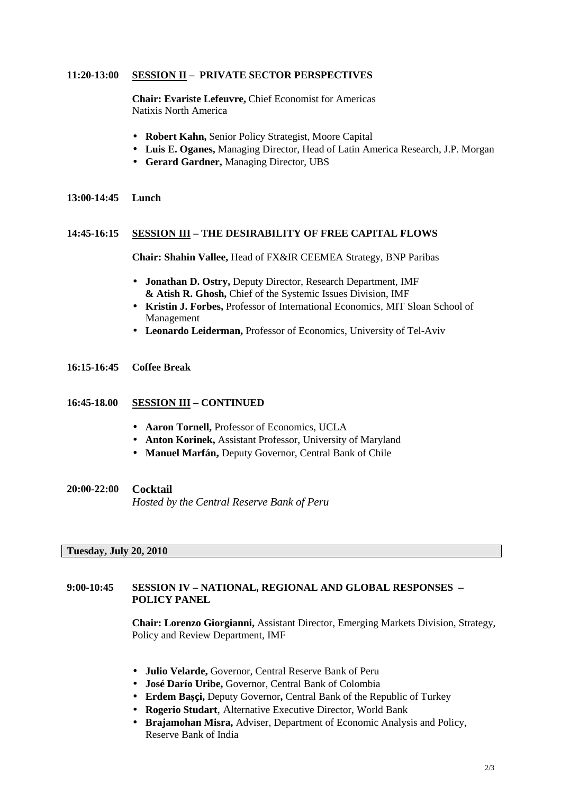### **11:20-13:00 SESSION II – PRIVATE SECTOR PERSPECTIVES**

**Chair: Evariste Lefeuvre,** Chief Economist for Americas Natixis North America

- **Robert Kahn,** Senior Policy Strategist, Moore Capital
- **Luis E. Oganes,** Managing Director, Head of Latin America Research, J.P. Morgan
- **Gerard Gardner,** Managing Director, UBS
- **13:00-14:45 Lunch**

### **14:45-16:15 SESSION III – THE DESIRABILITY OF FREE CAPITAL FLOWS**

 **Chair: Shahin Vallee,** Head of FX&IR CEEMEA Strategy, BNP Paribas

- **Jonathan D. Ostry,** Deputy Director, Research Department, IMF  **& Atish R. Ghosh,** Chief of the Systemic Issues Division, IMF
- **Kristin J. Forbes,** Professor of International Economics, MIT Sloan School of Management
- **Leonardo Leiderman,** Professor of Economics, University of Tel-Aviv
- **16:15-16:45 Coffee Break**

#### **16:45-18.00 SESSION III – CONTINUED**

- **Aaron Tornell,** Professor of Economics, UCLA
- **Anton Korinek,** Assistant Professor, University of Maryland
- **Manuel Marfán,** Deputy Governor, Central Bank of Chile

**20:00-22:00 Cocktail** *Hosted by the Central Reserve Bank of Peru* 

# **Tuesday, July 20, 2010**

### **9:00-10:45 SESSION IV – NATIONAL, REGIONAL AND GLOBAL RESPONSES – POLICY PANEL**

**Chair: Lorenzo Giorgianni,** Assistant Director, Emerging Markets Division, Strategy, Policy and Review Department, IMF

- **Julio Velarde,** Governor, Central Reserve Bank of Peru
- **José Darío Uribe,** Governor, Central Bank of Colombia
- **Erdem Ba**ş**çi,** Deputy Governor**,** Central Bank of the Republic of Turkey
- **Rogerio Studart**, Alternative Executive Director, World Bank
- **Brajamohan Misra,** Adviser, Department of Economic Analysis and Policy, Reserve Bank of India